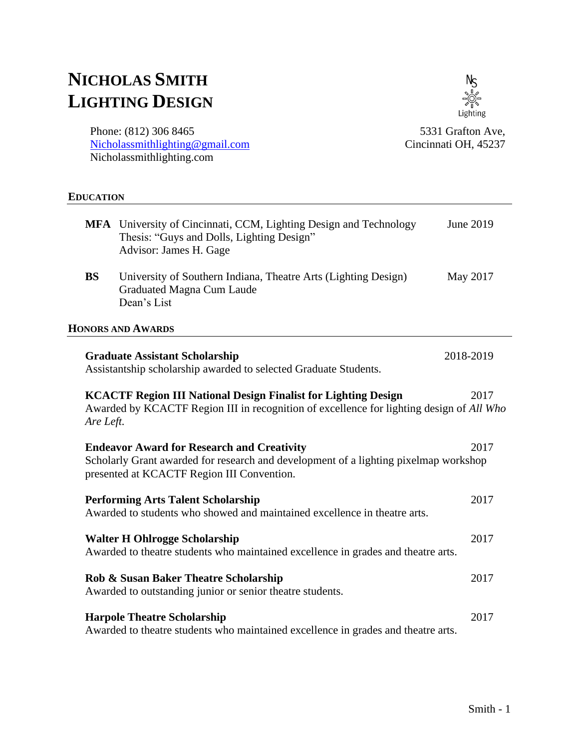# **NICHOLAS SMITH LIGHTING DESIGN**

 $N<sub>S</sub>$ Lighting

Phone: (812) 306 8465 [Nicholassmithlighting@gmail.com](mailto:Nicholassmithlighting@gmail.com) Nicholassmithlighting.com

5331 Grafton Ave, Cincinnati OH, 45237

### **EDUCATION**

|                                                                                                                                                                                        | MFA University of Cincinnati, CCM, Lighting Design and Technology<br>Thesis: "Guys and Dolls, Lighting Design"<br>Advisor: James H. Gage                                                | June 2019 |  |
|----------------------------------------------------------------------------------------------------------------------------------------------------------------------------------------|-----------------------------------------------------------------------------------------------------------------------------------------------------------------------------------------|-----------|--|
| <b>BS</b>                                                                                                                                                                              | University of Southern Indiana, Theatre Arts (Lighting Design)<br><b>Graduated Magna Cum Laude</b><br>Dean's List                                                                       | May 2017  |  |
|                                                                                                                                                                                        | <b>HONORS AND AWARDS</b>                                                                                                                                                                |           |  |
|                                                                                                                                                                                        | <b>Graduate Assistant Scholarship</b><br>Assistantship scholarship awarded to selected Graduate Students.                                                                               | 2018-2019 |  |
| <b>KCACTF Region III National Design Finalist for Lighting Design</b><br>2017<br>Awarded by KCACTF Region III in recognition of excellence for lighting design of All Who<br>Are Left. |                                                                                                                                                                                         |           |  |
|                                                                                                                                                                                        | <b>Endeavor Award for Research and Creativity</b><br>Scholarly Grant awarded for research and development of a lighting pixelmap workshop<br>presented at KCACTF Region III Convention. | 2017      |  |
|                                                                                                                                                                                        | <b>Performing Arts Talent Scholarship</b><br>Awarded to students who showed and maintained excellence in theatre arts.                                                                  | 2017      |  |
|                                                                                                                                                                                        | <b>Walter H Ohlrogge Scholarship</b><br>Awarded to theatre students who maintained excellence in grades and theatre arts.                                                               | 2017      |  |
|                                                                                                                                                                                        | Rob & Susan Baker Theatre Scholarship<br>Awarded to outstanding junior or senior theatre students.                                                                                      | 2017      |  |
|                                                                                                                                                                                        | <b>Harpole Theatre Scholarship</b><br><b>Contact Contact Contact Contact Contact Contact Contact Contact Contact Contact Contact Contact Contact Contact</b>                            | 2017      |  |

Awarded to theatre students who maintained excellence in grades and theatre arts.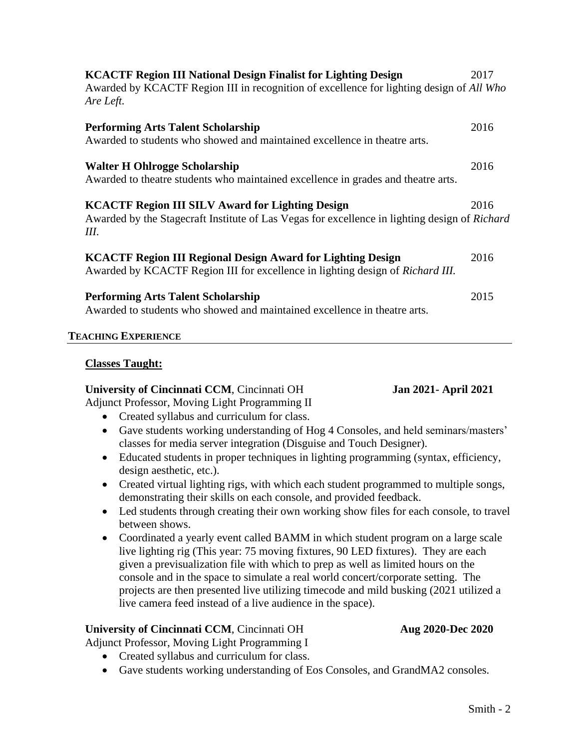| <b>KCACTF Region III National Design Finalist for Lighting Design</b><br>Awarded by KCACTF Region III in recognition of excellence for lighting design of All Who<br>Are Left. | 2017 |
|--------------------------------------------------------------------------------------------------------------------------------------------------------------------------------|------|
| <b>Performing Arts Talent Scholarship</b><br>Awarded to students who showed and maintained excellence in theatre arts.                                                         | 2016 |
| <b>Walter H Ohlrogge Scholarship</b><br>Awarded to theatre students who maintained excellence in grades and theatre arts.                                                      | 2016 |
| <b>KCACTF Region III SILV Award for Lighting Design</b><br>Awarded by the Stagecraft Institute of Las Vegas for excellence in lighting design of Richard<br>Ш.                 | 2016 |
| <b>KCACTF Region III Regional Design Award for Lighting Design</b><br>Awarded by KCACTF Region III for excellence in lighting design of Richard III.                           | 2016 |
| <b>Performing Arts Talent Scholarship</b><br>Awarded to students who showed and maintained excellence in theatre arts.                                                         | 2015 |

### **TEACHING EXPERIENCE**

### **Classes Taught:**

### **University of Cincinnati CCM**, Cincinnati OH **Jan 2021- April 2021**

- Adjunct Professor, Moving Light Programming II
	- Created syllabus and curriculum for class.
	- Gave students working understanding of Hog 4 Consoles, and held seminars/masters' classes for media server integration (Disguise and Touch Designer).
	- Educated students in proper techniques in lighting programming (syntax, efficiency, design aesthetic, etc.).
	- Created virtual lighting rigs, with which each student programmed to multiple songs, demonstrating their skills on each console, and provided feedback.
	- Led students through creating their own working show files for each console, to travel between shows.
	- Coordinated a yearly event called BAMM in which student program on a large scale live lighting rig (This year: 75 moving fixtures, 90 LED fixtures). They are each given a previsualization file with which to prep as well as limited hours on the console and in the space to simulate a real world concert/corporate setting. The projects are then presented live utilizing timecode and mild busking (2021 utilized a live camera feed instead of a live audience in the space).

# **University of Cincinnati CCM**, Cincinnati OH **Aug 2020-Dec 2020**

Adjunct Professor, Moving Light Programming I

- Created syllabus and curriculum for class.
- Gave students working understanding of Eos Consoles, and GrandMA2 consoles.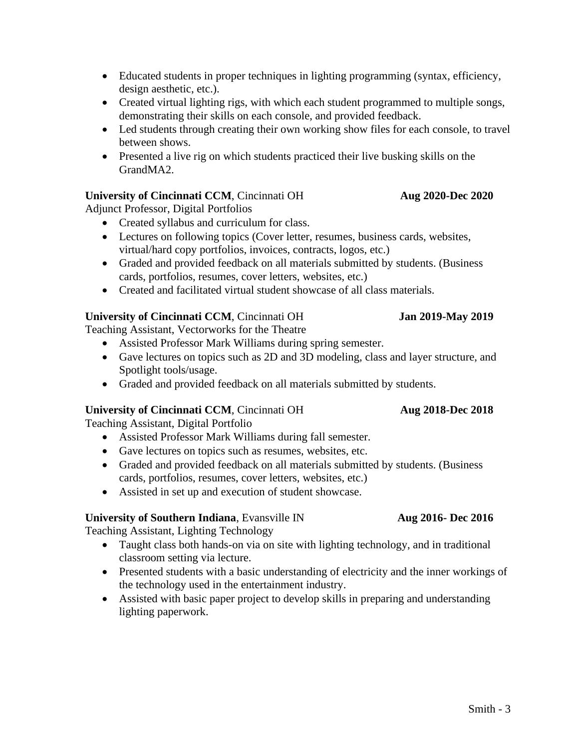- Educated students in proper techniques in lighting programming (syntax, efficiency, design aesthetic, etc.).
- Created virtual lighting rigs, with which each student programmed to multiple songs, demonstrating their skills on each console, and provided feedback.
- Led students through creating their own working show files for each console, to travel between shows.
- Presented a live rig on which students practiced their live busking skills on the GrandMA2.

# **University of Cincinnati CCM**, Cincinnati OH **Aug 2020-Dec 2020**

Adjunct Professor, Digital Portfolios

- Created syllabus and curriculum for class.
- Lectures on following topics (Cover letter, resumes, business cards, websites, virtual/hard copy portfolios, invoices, contracts, logos, etc.)
- Graded and provided feedback on all materials submitted by students. (Business cards, portfolios, resumes, cover letters, websites, etc.)
- Created and facilitated virtual student showcase of all class materials.

# **University of Cincinnati CCM**, Cincinnati OH **Jan 2019-May 2019**

Teaching Assistant, Vectorworks for the Theatre

- Assisted Professor Mark Williams during spring semester.
- Gave lectures on topics such as 2D and 3D modeling, class and layer structure, and Spotlight tools/usage.
- Graded and provided feedback on all materials submitted by students.

# **University of Cincinnati CCM**, Cincinnati OH **Aug 2018-Dec 2018**

Teaching Assistant, Digital Portfolio

- Assisted Professor Mark Williams during fall semester.
- Gave lectures on topics such as resumes, websites, etc.
- Graded and provided feedback on all materials submitted by students. (Business cards, portfolios, resumes, cover letters, websites, etc.)
- Assisted in set up and execution of student showcase.

# **University of Southern Indiana**, Evansville IN **Aug 2016- Dec 2016**

Teaching Assistant, Lighting Technology

- Taught class both hands-on via on site with lighting technology, and in traditional classroom setting via lecture.
- Presented students with a basic understanding of electricity and the inner workings of the technology used in the entertainment industry.
- Assisted with basic paper project to develop skills in preparing and understanding lighting paperwork.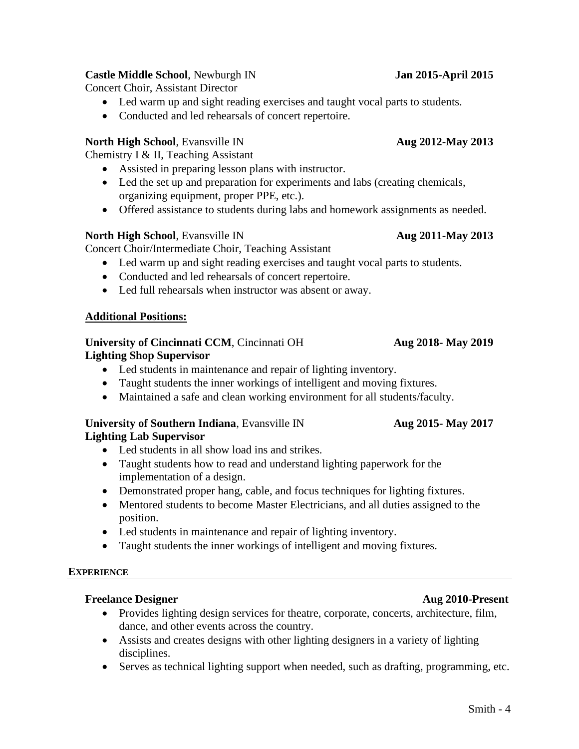# **Castle Middle School**, Newburgh IN **Jan 2015-April 2015**

Concert Choir, Assistant Director

- Led warm up and sight reading exercises and taught vocal parts to students.
- Conducted and led rehearsals of concert repertoire.

# **North High School**, Evansville IN **Aug 2012-May 2013**

Chemistry I & II, Teaching Assistant

- Assisted in preparing lesson plans with instructor.
- Led the set up and preparation for experiments and labs (creating chemicals, organizing equipment, proper PPE, etc.).
- Offered assistance to students during labs and homework assignments as needed.

# **North High School**, Evansville IN **Aug 2011-May 2013**

Concert Choir/Intermediate Choir, Teaching Assistant

- Led warm up and sight reading exercises and taught vocal parts to students.
- Conducted and led rehearsals of concert repertoire.
- Led full rehearsals when instructor was absent or away.

# **Additional Positions:**

### **University of Cincinnati CCM**, Cincinnati OH **Aug 2018- May 2019 Lighting Shop Supervisor**

- Led students in maintenance and repair of lighting inventory.
- Taught students the inner workings of intelligent and moving fixtures.
- Maintained a safe and clean working environment for all students/faculty.

# **University of Southern Indiana**, Evansville IN **Aug 2015- May 2017 Lighting Lab Supervisor**

- Led students in all show load ins and strikes.
- Taught students how to read and understand lighting paperwork for the implementation of a design.
- Demonstrated proper hang, cable, and focus techniques for lighting fixtures.
- Mentored students to become Master Electricians, and all duties assigned to the position.
- Led students in maintenance and repair of lighting inventory.
- Taught students the inner workings of intelligent and moving fixtures.

# **EXPERIENCE**

# **Freelance Designer Aug 2010-Present**

- Provides lighting design services for theatre, corporate, concerts, architecture, film, dance, and other events across the country.
- Assists and creates designs with other lighting designers in a variety of lighting disciplines.
- Serves as technical lighting support when needed, such as drafting, programming, etc.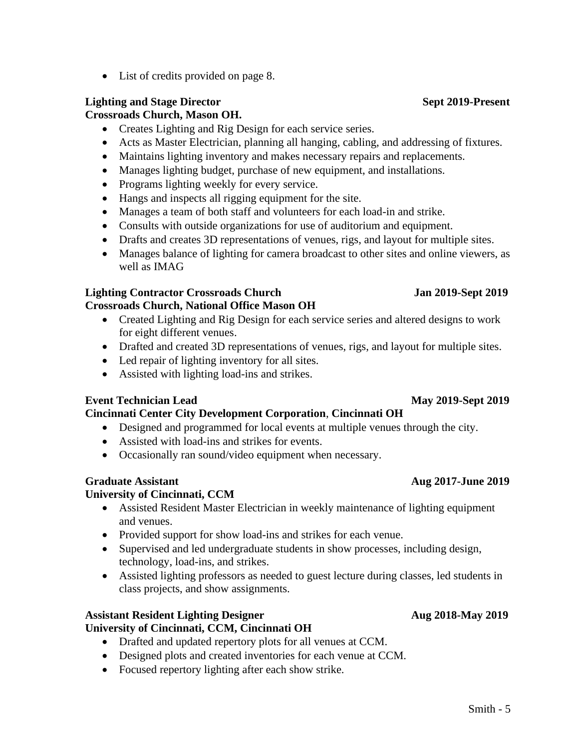• List of credits provided on page 8.

# **Lighting and Stage Director Sept 2019-Present**

**Crossroads Church, Mason OH.**

- Creates Lighting and Rig Design for each service series.
- Acts as Master Electrician, planning all hanging, cabling, and addressing of fixtures.
- Maintains lighting inventory and makes necessary repairs and replacements.
- Manages lighting budget, purchase of new equipment, and installations.
- Programs lighting weekly for every service.
- Hangs and inspects all rigging equipment for the site.
- Manages a team of both staff and volunteers for each load-in and strike.
- Consults with outside organizations for use of auditorium and equipment.
- Drafts and creates 3D representations of venues, rigs, and layout for multiple sites.
- Manages balance of lighting for camera broadcast to other sites and online viewers, as well as IMAG

### **Lighting Contractor Crossroads Church Jan 2019-Sept 2019 Crossroads Church, National Office Mason OH**

- Created Lighting and Rig Design for each service series and altered designs to work for eight different venues.
- Drafted and created 3D representations of venues, rigs, and layout for multiple sites.
- Led repair of lighting inventory for all sites.
- Assisted with lighting load-ins and strikes.

# **Event Technician Lead May 2019-Sept 2019**

# **Cincinnati Center City Development Corporation**, **Cincinnati OH**

- Designed and programmed for local events at multiple venues through the city.
- Assisted with load-ins and strikes for events.
- Occasionally ran sound/video equipment when necessary.

# **University of Cincinnati, CCM**

- Assisted Resident Master Electrician in weekly maintenance of lighting equipment and venues.
- Provided support for show load-ins and strikes for each venue.
- Supervised and led undergraduate students in show processes, including design, technology, load-ins, and strikes.
- Assisted lighting professors as needed to guest lecture during classes, led students in class projects, and show assignments.

# **Assistant Resident Lighting Designer Aug 2018-May 2019**

# **University of Cincinnati, CCM, Cincinnati OH**

- Drafted and updated repertory plots for all venues at CCM.
- Designed plots and created inventories for each venue at CCM.
- Focused repertory lighting after each show strike.

# **Graduate Assistant Aug 2017-June 2019**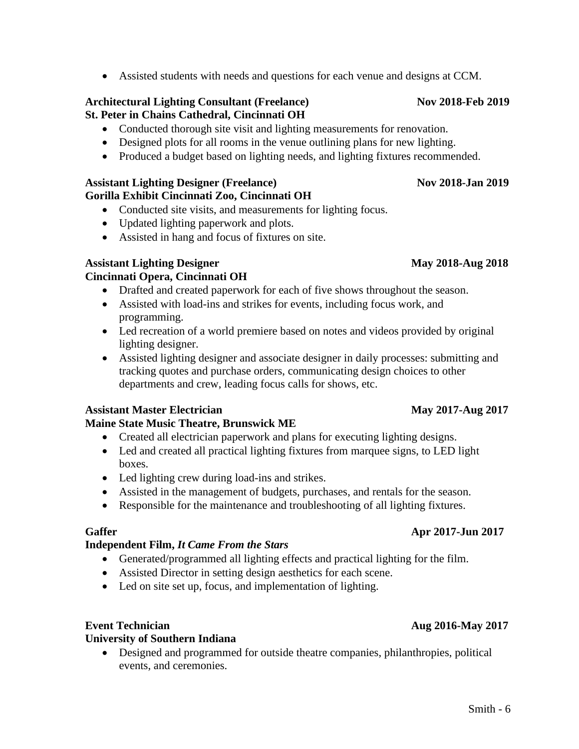• Assisted students with needs and questions for each venue and designs at CCM.

### **Architectural Lighting Consultant (Freelance) Nov 2018-Feb 2019 St. Peter in Chains Cathedral, Cincinnati OH**

- Conducted thorough site visit and lighting measurements for renovation.
- Designed plots for all rooms in the venue outlining plans for new lighting.
- Produced a budget based on lighting needs, and lighting fixtures recommended.

### Assistant Lighting Designer (Freelance) Nov 2018-Jan 2019 **Gorilla Exhibit Cincinnati Zoo, Cincinnati OH**

- Conducted site visits, and measurements for lighting focus.
- Updated lighting paperwork and plots.
- Assisted in hang and focus of fixtures on site.

# **Assistant Lighting Designer May 2018-Aug 2018**

# **Cincinnati Opera, Cincinnati OH**

- Drafted and created paperwork for each of five shows throughout the season.
- Assisted with load-ins and strikes for events, including focus work, and programming.
- Led recreation of a world premiere based on notes and videos provided by original lighting designer.
- Assisted lighting designer and associate designer in daily processes: submitting and tracking quotes and purchase orders, communicating design choices to other departments and crew, leading focus calls for shows, etc.

# **Assistant Master Electrician May 2017-Aug 2017**

# **Maine State Music Theatre, Brunswick ME**

- Created all electrician paperwork and plans for executing lighting designs.
- Led and created all practical lighting fixtures from marquee signs, to LED light boxes.
- Led lighting crew during load-ins and strikes.
- Assisted in the management of budgets, purchases, and rentals for the season.
- Responsible for the maintenance and troubleshooting of all lighting fixtures.

# **Gaffer Apr 2017-Jun 2017**

# **Independent Film,** *It Came From the Stars*

- Generated/programmed all lighting effects and practical lighting for the film.
- Assisted Director in setting design aesthetics for each scene.
- Led on site set up, focus, and implementation of lighting.

# **Event Technician** Aug 2016-May 2017

# **University of Southern Indiana**

• Designed and programmed for outside theatre companies, philanthropies, political events, and ceremonies.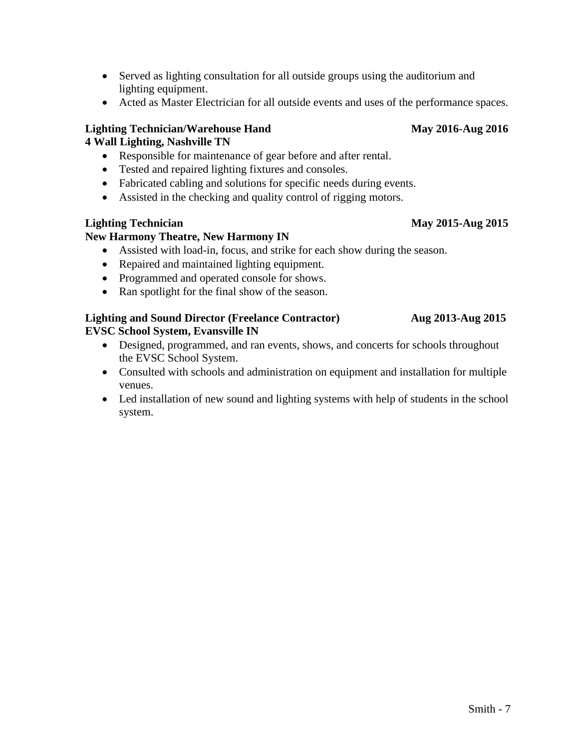- Served as lighting consultation for all outside groups using the auditorium and lighting equipment.
- Acted as Master Electrician for all outside events and uses of the performance spaces.

# **Lighting Technician/Warehouse Hand May 2016-Aug 2016**

# **4 Wall Lighting, Nashville TN**

- Responsible for maintenance of gear before and after rental.
- Tested and repaired lighting fixtures and consoles.
- Fabricated cabling and solutions for specific needs during events.
- Assisted in the checking and quality control of rigging motors.

# **Lighting Technician May 2015-Aug 2015**

# **New Harmony Theatre, New Harmony IN**

- Assisted with load-in, focus, and strike for each show during the season.
- Repaired and maintained lighting equipment.
- Programmed and operated console for shows.
- Ran spotlight for the final show of the season.

## **Lighting and Sound Director (Freelance Contractor) Aug 2013-Aug 2015 EVSC School System, Evansville IN**

- Designed, programmed, and ran events, shows, and concerts for schools throughout the EVSC School System.
- Consulted with schools and administration on equipment and installation for multiple venues.
- Led installation of new sound and lighting systems with help of students in the school system.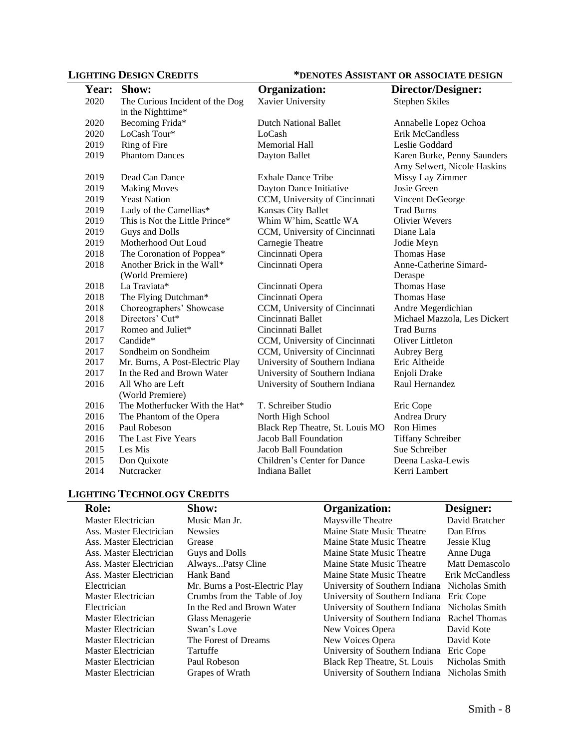# **LIGHTING DESIGN CREDITS \*DENOTES ASSISTANT OR ASSOCIATE DESIGN**

| <b>Year:</b> | Show:                           | <b>Organization:</b>            | Director/Designer:           |
|--------------|---------------------------------|---------------------------------|------------------------------|
| 2020         | The Curious Incident of the Dog | Xavier University               | <b>Stephen Skiles</b>        |
|              | in the Nighttime*               |                                 |                              |
| 2020         | Becoming Frida*                 | <b>Dutch National Ballet</b>    | Annabelle Lopez Ochoa        |
| 2020         | LoCash Tour*                    | LoCash                          | <b>Erik McCandless</b>       |
| 2019         | Ring of Fire                    | <b>Memorial Hall</b>            | Leslie Goddard               |
| 2019         | <b>Phantom Dances</b>           | Dayton Ballet                   | Karen Burke, Penny Saunders  |
|              |                                 |                                 | Amy Selwert, Nicole Haskins  |
| 2019         | Dead Can Dance                  | <b>Exhale Dance Tribe</b>       | Missy Lay Zimmer             |
| 2019         | <b>Making Moves</b>             | Dayton Dance Initiative         | Josie Green                  |
| 2019         | <b>Yeast Nation</b>             | CCM, University of Cincinnati   | Vincent DeGeorge             |
| 2019         | Lady of the Camellias*          | Kansas City Ballet              | <b>Trad Burns</b>            |
| 2019         | This is Not the Little Prince*  | Whim W'him, Seattle WA          | <b>Olivier Wevers</b>        |
| 2019         | Guys and Dolls                  | CCM, University of Cincinnati   | Diane Lala                   |
| 2019         | Motherhood Out Loud             | Carnegie Theatre                | Jodie Meyn                   |
| 2018         | The Coronation of Poppea*       | Cincinnati Opera                | <b>Thomas Hase</b>           |
| 2018         | Another Brick in the Wall*      | Cincinnati Opera                | Anne-Catherine Simard-       |
|              | (World Premiere)                |                                 | Deraspe                      |
| 2018         | La Traviata*                    | Cincinnati Opera                | <b>Thomas Hase</b>           |
| 2018         | The Flying Dutchman*            | Cincinnati Opera                | <b>Thomas Hase</b>           |
| 2018         | Choreographers' Showcase        | CCM, University of Cincinnati   | Andre Megerdichian           |
| 2018         | Directors' Cut*                 | Cincinnati Ballet               | Michael Mazzola, Les Dickert |
| 2017         | Romeo and Juliet*               | Cincinnati Ballet               | <b>Trad Burns</b>            |
| 2017         | Candide*                        | CCM, University of Cincinnati   | Oliver Littleton             |
| 2017         | Sondheim on Sondheim            | CCM, University of Cincinnati   | Aubrey Berg                  |
| 2017         | Mr. Burns, A Post-Electric Play | University of Southern Indiana  | Eric Altheide                |
| 2017         | In the Red and Brown Water      | University of Southern Indiana  | Enjoli Drake                 |
| 2016         | All Who are Left                | University of Southern Indiana  | Raul Hernandez               |
|              | (World Premiere)                |                                 |                              |
| 2016         | The Motherfucker With the Hat*  | T. Schreiber Studio             | Eric Cope                    |
| 2016         | The Phantom of the Opera        | North High School               | Andrea Drury                 |
| 2016         | Paul Robeson                    | Black Rep Theatre, St. Louis MO | <b>Ron Himes</b>             |
| 2016         | The Last Five Years             | Jacob Ball Foundation           | <b>Tiffany Schreiber</b>     |
| 2015         | Les Mis                         | Jacob Ball Foundation           | Sue Schreiber                |
| 2015         | Don Quixote                     | Children's Center for Dance     | Deena Laska-Lewis            |
| 2014         | Nutcracker                      | Indiana Ballet                  | Kerri Lambert                |

# **LIGHTING TECHNOLOGY CREDITS**

| <b>Role:</b>            | Show:                          | Organization:                                 | Designer:       |
|-------------------------|--------------------------------|-----------------------------------------------|-----------------|
| Master Electrician      | Music Man Jr.                  | Maysville Theatre                             | David Bratcher  |
| Ass. Master Electrician | <b>Newsies</b>                 | Maine State Music Theatre                     | Dan Efros       |
| Ass. Master Electrician | Grease                         | Maine State Music Theatre                     | Jessie Klug     |
| Ass. Master Electrician | Guys and Dolls                 | Maine State Music Theatre                     | Anne Duga       |
| Ass. Master Electrician | AlwaysPatsy Cline              | Maine State Music Theatre                     | Matt Demascolo  |
| Ass. Master Electrician | Hank Band                      | Maine State Music Theatre                     | Erik McCandless |
| Electrician             | Mr. Burns a Post-Electric Play | University of Southern Indiana Nicholas Smith |                 |
| Master Electrician      | Crumbs from the Table of Joy   | University of Southern Indiana                | Eric Cope       |
| Electrician             | In the Red and Brown Water     | University of Southern Indiana                | Nicholas Smith  |
| Master Electrician      | Glass Menagerie                | University of Southern Indiana Rachel Thomas  |                 |
| Master Electrician      | Swan's Love                    | New Voices Opera                              | David Kote      |
| Master Electrician      | The Forest of Dreams           | New Voices Opera                              | David Kote      |
| Master Electrician      | Tartuffe                       | University of Southern Indiana                | Eric Cope       |
| Master Electrician      | Paul Robeson                   | Black Rep Theatre, St. Louis                  | Nicholas Smith  |
| Master Electrician      | Grapes of Wrath                | University of Southern Indiana                | Nicholas Smith  |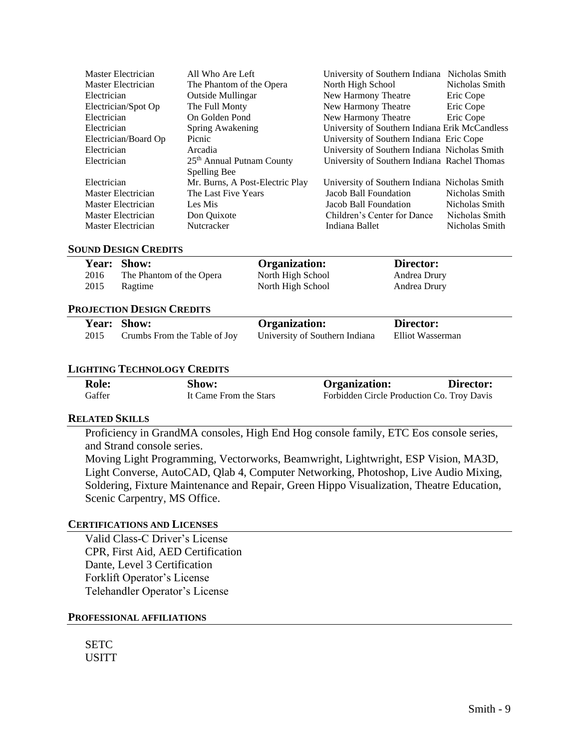| Master Electrician   | All Who Are Left                      | University of Southern Indiana                 | Nicholas Smith |
|----------------------|---------------------------------------|------------------------------------------------|----------------|
| Master Electrician   | The Phantom of the Opera              | North High School                              | Nicholas Smith |
| Electrician          | Outside Mullingar                     | New Harmony Theatre                            | Eric Cope      |
| Electrician/Spot Op  | The Full Monty                        | New Harmony Theatre                            | Eric Cope      |
| Electrician          | On Golden Pond                        | New Harmony Theatre                            | Eric Cope      |
| Electrician          | Spring Awakening                      | University of Southern Indiana Erik McCandless |                |
| Electrician/Board Op | Picnic                                | University of Southern Indiana Eric Cope       |                |
| Electrician          | Arcadia                               | University of Southern Indiana Nicholas Smith  |                |
| Electrician          | 25 <sup>th</sup> Annual Putnam County | University of Southern Indiana Rachel Thomas   |                |
|                      | Spelling Bee                          |                                                |                |
| Electrician          | Mr. Burns, A Post-Electric Play       | University of Southern Indiana Nicholas Smith  |                |
| Master Electrician   | The Last Five Years                   | Jacob Ball Foundation                          | Nicholas Smith |
| Master Electrician   | Les Mis                               | Jacob Ball Foundation                          | Nicholas Smith |
| Master Electrician   | Don Ouixote                           | Children's Center for Dance                    | Nicholas Smith |
| Master Electrician   | Nutcracker                            | Indiana Ballet                                 | Nicholas Smith |

### **SOUND DESIGN CREDITS**

|      | Year: Show:              | <b>Organization:</b> | Director:    |  |
|------|--------------------------|----------------------|--------------|--|
| 2016 | The Phantom of the Opera | North High School    | Andrea Drury |  |
| 2015 | Ragtime                  | North High School    | Andrea Drury |  |
|      |                          |                      |              |  |

### **PROJECTION DESIGN CREDITS**

|      | Year: Show:                  | <b>Organization:</b>           | Director:        |
|------|------------------------------|--------------------------------|------------------|
| 2015 | Crumbs From the Table of Joy | University of Southern Indiana | Elliot Wasserman |

### **LIGHTING TECHNOLOGY CREDITS**

| <b>Role:</b> | Show:                  | <b>Organization:</b>                       | Director: |
|--------------|------------------------|--------------------------------------------|-----------|
| Gaffer       | It Came From the Stars | Forbidden Circle Production Co. Troy Davis |           |

### **RELATED SKILLS**

Proficiency in GrandMA consoles, High End Hog console family, ETC Eos console series, and Strand console series.

Moving Light Programming, Vectorworks, Beamwright, Lightwright, ESP Vision, MA3D, Light Converse, AutoCAD, Qlab 4, Computer Networking, Photoshop, Live Audio Mixing, Soldering, Fixture Maintenance and Repair, Green Hippo Visualization, Theatre Education, Scenic Carpentry, MS Office.

### **CERTIFICATIONS AND LICENSES**

Valid Class-C Driver's License CPR, First Aid, AED Certification Dante, Level 3 Certification Forklift Operator's License Telehandler Operator's License

### **PROFESSIONAL AFFILIATIONS**

**SETC** USITT